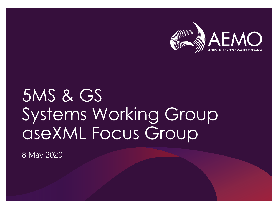

# 5MS & GS Systems Working Group aseXML Focus Group

8 May 2020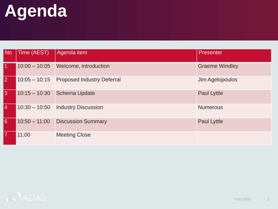# **Agenda**

| <b>No</b>      | Time (AEST)     | Agenda item                              | Presenter             |
|----------------|-----------------|------------------------------------------|-----------------------|
|                |                 | 10:00 - 10:05 Welcome, introduction      | <b>Graeme Windley</b> |
| $\overline{2}$ |                 | 10:05 - 10:15 Proposed Industry Deferral | Jim Agelopoulos       |
| 3              |                 | 10:15 - 10:30 Schema Update              | <b>Paul Lyttle</b>    |
| 14             | $10:30 - 10:50$ | <b>Industry Discussion</b>               | <b>Numerous</b>       |
| 6              |                 | 10:50 - 11:00 Discussion Summary         | <b>Paul Lyttle</b>    |
|                | 11:00           | <b>Meeting Close</b>                     |                       |

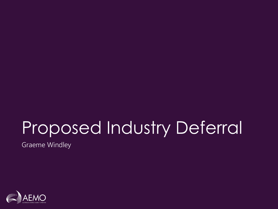# Proposed Industry Deferral

Graeme Windley

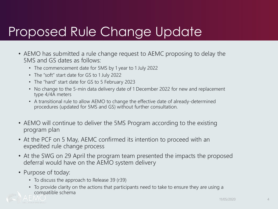#### Proposed Rule Change Update

- AEMO has submitted a rule change request to AEMC proposing to delay the 5MS and GS dates as follows:
	- The commencement date for 5MS by 1 year to 1 July 2022
	- The "soft" start date for GS to 1 July 2022
	- The "hard" start date for GS to 5 February 2023
	- No change to the 5-min data delivery date of 1 December 2022 for new and replacement type 4/4A meters
	- A transitional rule to allow AEMO to change the effective date of already-determined procedures (updated for 5MS and GS) without further consultation.
- AEMO will continue to deliver the 5MS Program according to the existing program plan
- At the PCF on 5 May, AEMC confirmed its intention to proceed with an expedited rule change process
- At the SWG on 29 April the program team presented the impacts the proposed deferral would have on the AEMO system delivery
- Purpose of today:
	- To discuss the approach to Release 39 (r39)
	- To provide clarity on the actions that participants need to take to ensure they are using a compatible schema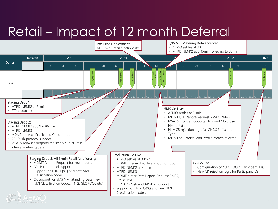#### Retail – Impact of 12 month Deferral

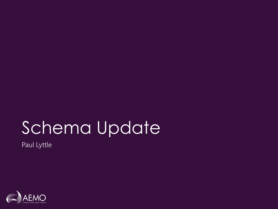# Schema Update

Paul Lyttle

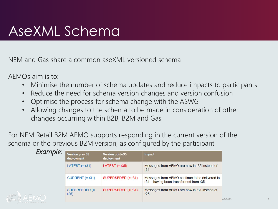#### AseXML Schema

NEM and Gas share a common aseXML versioned schema

AEMOs aim is to:

- Minimise the number of schema updates and reduce impacts to participants
- Reduce the need for schema version changes and version confusion
- Optimise the process for schema change with the ASWG
- Allowing changes to the schema to be made in consideration of other changes occurring within B2B, B2M and Gas

For NEM Retail B2M AEMO supports responding in the current version of the schema or the previous B2M version, as configured by the participant

| Example: | <b>Version pre-r35</b><br>deployment | <b>Version post-r35</b><br>deployment | <b>Impact</b>                                                                             |  |  |  |  |  |
|----------|--------------------------------------|---------------------------------------|-------------------------------------------------------------------------------------------|--|--|--|--|--|
|          | LATEST $(= r31)$                     | LATEST $(= r35)$                      | Messages from AEMO are now in r35 instead of<br>r31.                                      |  |  |  |  |  |
|          | CURRENT $(= r31)$                    | SUPERSEDED $(= r31)$                  | Messages from AEMO continue to be delivered in<br>r31 - having been transformed from r35. |  |  |  |  |  |
|          | SUPERSEDED (=<br>r25                 | SUPERSEDED $(= r31)$                  | Messages from AEMO are now in r31 instead of<br>r25.                                      |  |  |  |  |  |

5/2020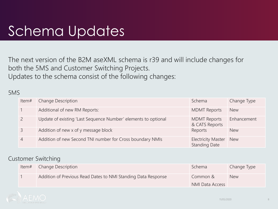#### Schema Updates

The next version of the B2M aseXML schema is r39 and will include changes for both the 5MS and Customer Switching Projects. Updates to the schema consist of the following changes:

#### 5MS

| Item# | <b>Change Description</b>                                      | Schema                                            | Change Type |
|-------|----------------------------------------------------------------|---------------------------------------------------|-------------|
|       | Additional of new RM Reports:                                  | <b>MDMT Reports</b>                               | <b>New</b>  |
|       | Update of existing 'Last Sequence Number' elements to optional | <b>MDMT Reports</b><br>& CATS Reports             | Enhancement |
|       | Addition of new x of y message block                           | Reports                                           | <b>New</b>  |
| 4     | Addition of new Second TNI number for Cross boundary NMIs      | <b>Electricity Master</b><br><b>Standing Date</b> | <b>New</b>  |

#### Customer Switching

| Item# | Change Description                                            | Schema                      | Change Type |
|-------|---------------------------------------------------------------|-----------------------------|-------------|
|       | Addition of Previous Read Dates to NMI Standing Data Response | Common &<br>NMI Data Access | <b>New</b>  |

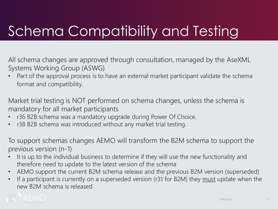## Schema Compatibility and Testing

All schema changes are approved through consultation, managed by the AseXML Systems Working Group (ASWG)

Part of the approval process is to have an external market participant validate the schema format and compatibility.

Market trial testing is NOT performed on schema changes, unless the schema is mandatory for all market participants

- r36 B2B schema was a mandatory upgrade during Power Of Choice.
- r38 B2B schema was introduced without any market trial testing.

To support schemas changes AEMO will transform the B2M schema to support the previous version (n-1)

- It is up to the individual business to determine if they will use the new functionality and therefore need to update to the latest version of the schema
- AEMO support the current B2M schema release and the previous B2M version (superseded)
- If a participant is currently on a superseded version (r31 for B2M) they must update when the new B2M schema is released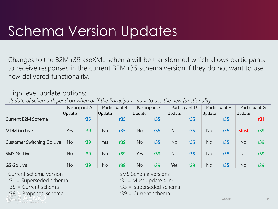### Schema Version Updates

Changes to the B2M r39 aseXML schema will be transformed which allows participants to receive responses in the current B2M r35 schema version if they do not want to use new delivered functionality.

#### High level update options:

*Update of schema depend on when or if the Participant want to use the new functionality*

| Participant A<br>Update    |           | Participant B<br>Update |           | Participant C<br>Update |           | Participant D<br>Update |           | Participant F<br>Update |           | Participant G<br>Update |             |     |
|----------------------------|-----------|-------------------------|-----------|-------------------------|-----------|-------------------------|-----------|-------------------------|-----------|-------------------------|-------------|-----|
| Current B2M Schema         |           | r35                     |           | r35                     |           | r35                     |           | r35                     |           | r35                     |             | r31 |
| <b>MDM Go Live</b>         | Yes       | r39                     | <b>No</b> | r35                     | <b>No</b> | r35                     | <b>No</b> | r35                     | <b>No</b> | r35                     | <b>Must</b> | r39 |
| Customer Switching Go Live | <b>No</b> | r39                     | Yes       | r39                     | <b>No</b> | r35                     | <b>No</b> | r35                     | <b>No</b> | r35                     | <b>No</b>   | r39 |
| <b>5MS Go Live</b>         | <b>No</b> | r39                     | <b>No</b> | r39                     | Yes       | r39                     | <b>No</b> | r35                     | <b>No</b> | r35                     | <b>No</b>   | r39 |
| <b>GS Go Live</b>          | No        | r39                     | <b>No</b> | r39                     | <b>No</b> | r39                     | Yes       | r39                     | <b>No</b> | r35                     | <b>No</b>   | r39 |

Current schema version 5MS Schema versions

- $r31 =$  Superseded schema r31 = Must update > n-1
- 
- $r39$  = Proposed schema r39 = Current schema
- 
- 
- $r35 =$  Current schema r35 = Superseded schema
	-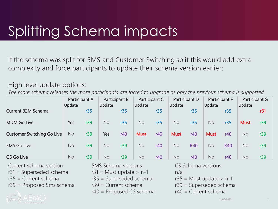## Splitting Schema impacts

If the schema was split for 5MS and Customer Switching split this would add extra complexity and force participants to update their schema version earlier:

#### High level update options:

*The more schema releases the more participants are forced to upgrade as only the previous schema is supported*

|                            | Participant A |     | Participant B |     | Participant C |     | Participant D |            | Participant F |            | Participant G |     |
|----------------------------|---------------|-----|---------------|-----|---------------|-----|---------------|------------|---------------|------------|---------------|-----|
| Current B2M Schema         | Update        | r35 | Update        | r35 | Update        | r35 | Update        | r35        | Update        | r35        | Update        | r31 |
| <b>MDM Go Live</b>         | Yes           | r39 | No            | r35 | <b>No</b>     | r35 | <b>No</b>     | r35        | <b>No</b>     | r35        | <b>Must</b>   | r39 |
| Customer Switching Go Live | <b>No</b>     | r39 | Yes           | r40 | <b>Must</b>   | r40 | <b>Must</b>   | r40        | <b>Must</b>   | r40        | <b>No</b>     | r39 |
| <b>5MS Go Live</b>         | No            | r39 | No            | r39 | <b>No</b>     | r40 | No            | <b>R40</b> | <b>No</b>     | <b>R40</b> | <b>No</b>     | r39 |
| <b>GS Go Live</b>          | No            | r39 | No            | r39 | <b>No</b>     | r40 | No            | r40        | <b>No</b>     | r40        | <b>No</b>     | r39 |

Current schema version 5MS Schema versions CS Schema versions

 $r31 =$  Superseded schema  $r31 =$  Must update > n-1 and n/a

 $r39$  = Proposed 5ms schema  $r39$  = Current schema  $r39$  = Superseded schema

 $r40$  = Proposed CS schema  $r40$  = Current schema

 $r35$  = Current schema  $r35$  = Superseded schema  $r35$  = Must update > n-1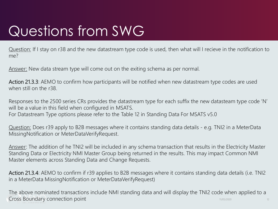## Questions from SWG

Question: If I stay on r38 and the new datastream type code is used, then what will I recieve in the notification to me?

Answer: New data stream type will come out on the exiting schema as per normal.

Action 21.3.3: AEMO to confirm how participants will be notified when new datastream type codes are used when still on the r38.

Responses to the 2500 series CRs provides the datastream type for each suffix the new datasteam type code 'N' will be a value in this field when configured in MSATS. For Datastream Type options please refer to the Table 12 in Standing Data For MSATS v5.0

Question: Does r39 apply to B2B messages where it contains standing data details - e.g. TNI2 in a MeterData MissingNotification or MeterDataVerifyRequest.

Answer: The addition of he TNI2 will be included in any schema transaction that results in the Electricity Master Standing Data or Electricity NMI Master Group being returned in the results. This may impact Common NMI Master elements across Standing Data and Change Requests.

Action 21.3.4: AEMO to confirm if r39 applies to B2B messages where it contains standing data details (i.e. TNI2 in a MeterData MissingNotification or MeterDataVerifyRequest)

11/05/2020 12 The above nominated transactions include NMI standing data and will display the TNI2 code when applied to a Cross Boundary connection point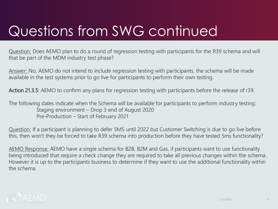## Questions from SWG continued

Question: Does AEMO plan to do a round of regression testing with participants for the R39 schema and will that be part of the MDM industry test phase?

Answer: No, AEMO do not intend to include regression testing with participants, the schema will be made available in the test systems prior to go live for participants to perform their own testing.

Action 21.3.5: AEMO to confirm any plans for regression testing with participants before the release of r39.

The following dates indicate when the Schema will be available for participants to perform industry testing: Staging environment – Drop 3 end of August 2020 Pre-Production – Start of February 2021

Question: If a participant is planning to defer 5MS until 2022 but Customer Switching is due to go live before this, then won't they be forced to take R39 schema into production before they have tested 5ms functionality?

AEMO Response: AEMO have a single schema for B2B, B2M and Gas, if participants want to use functionality being introduced that require a check change they are required to take all previous changes within the schema. However it is up to the participants business to determine if they want to use the additional functionality within the schema.

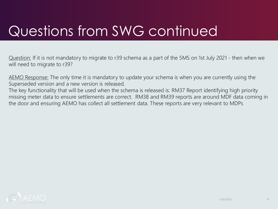## Questions from SWG continued

Question: If it is not mandatory to migrate to r39 schema as a part of the 5MS on 1st July 2021 - then when we will need to migrate to r39?

AEMO Response: The only time it is mandatory to update your schema is when you are currently using the Superseded version and a new version is released.

The key functionality that will be used when the schema is released is: RM37 Report identifying high priority missing meter data to ensure settlements are correct. RM38 and RM39 reports are around MDF data coming in the door and ensuring AEMO has collect all settlement data. These reports are very relevant to MDPs